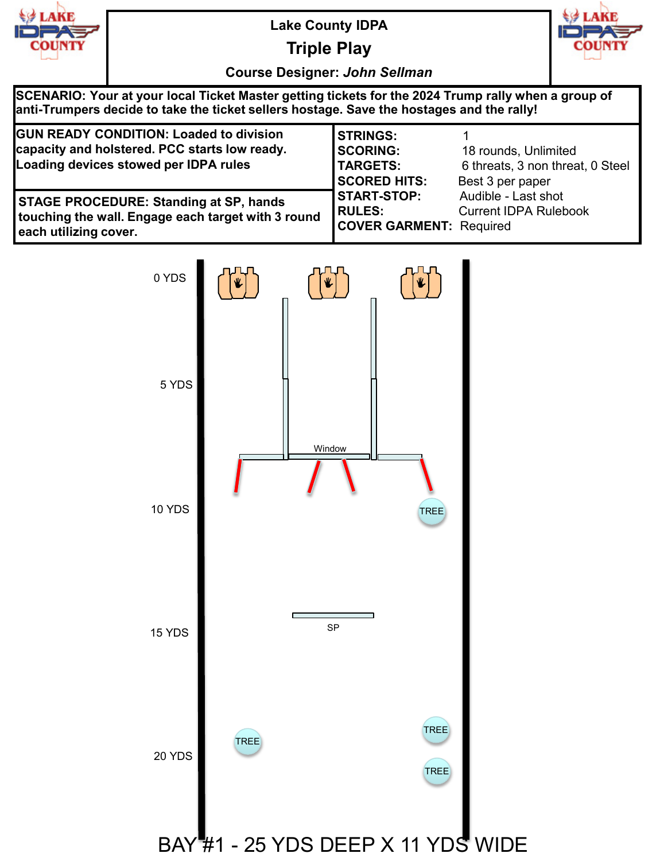

**Triple Play**



**Course Designer:** *John Sellman*

| SCENARIO: Your at your local Ticket Master getting tickets for the 2024 Trump rally when a group of<br>anti-Trumpers decide to take the ticket sellers hostage. Save the hostages and the rally! |                                                                              |                                                                              |  |  |
|--------------------------------------------------------------------------------------------------------------------------------------------------------------------------------------------------|------------------------------------------------------------------------------|------------------------------------------------------------------------------|--|--|
| <b>GUN READY CONDITION: Loaded to division</b><br>capacity and holstered. PCC starts low ready.<br>Loading devices stowed per IDPA rules                                                         | <b>STRINGS:</b><br><b>SCORING:</b><br><b>TARGETS:</b><br><b>SCORED HITS:</b> | 18 rounds, Unlimited<br>6 threats, 3 non threat, 0 Steel<br>Best 3 per paper |  |  |
| <b>STAGE PROCEDURE: Standing at SP, hands</b><br>touching the wall. Engage each target with 3 round<br>each utilizing cover.                                                                     | <b>START-STOP:</b><br><b>RULES:</b><br><b>COVER GARMENT: Required</b>        | Audible - Last shot<br><b>Current IDPA Rulebook</b>                          |  |  |

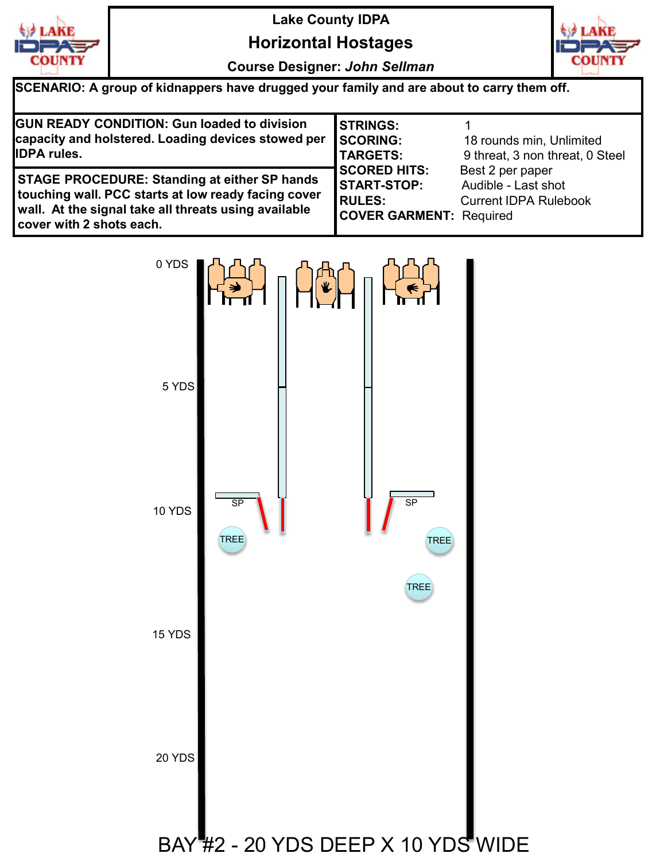

## **Horizontal Hostages**

**Course Designer:** *John Sellman*



**SCENARIO: A group of kidnappers have drugged your family and are about to carry them off.**

| <b>GUN READY CONDITION: Gun loaded to division</b><br>capacity and holstered. Loading devices stowed per                                                                                       | <b>I</b> STRINGS:<br><b>SCORING:</b>                                                         | 18 rounds min, Unlimited                                                |
|------------------------------------------------------------------------------------------------------------------------------------------------------------------------------------------------|----------------------------------------------------------------------------------------------|-------------------------------------------------------------------------|
| <b>IDPA rules.</b>                                                                                                                                                                             | <b>TARGETS:</b>                                                                              | 9 threat, 3 non threat, 0 Steel                                         |
| <b>STAGE PROCEDURE: Standing at either SP hands</b><br>touching wall. PCC starts at low ready facing cover<br>wall. At the signal take all threats using available<br>cover with 2 shots each. | <b>SCORED HITS:</b><br><b>START-STOP:</b><br><b>RULES:</b><br><b>COVER GARMENT: Required</b> | Best 2 per paper<br>Audible - Last shot<br><b>Current IDPA Rulebook</b> |

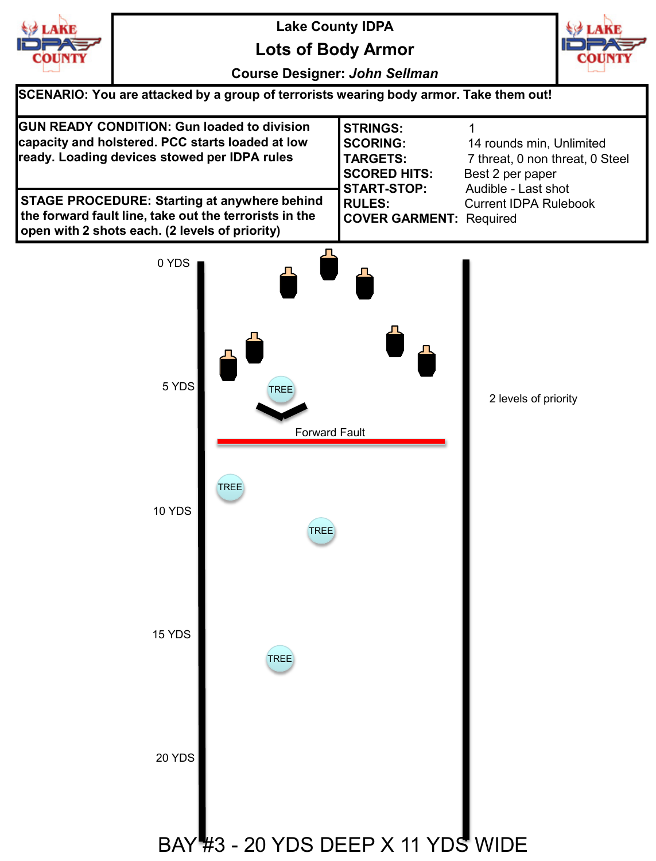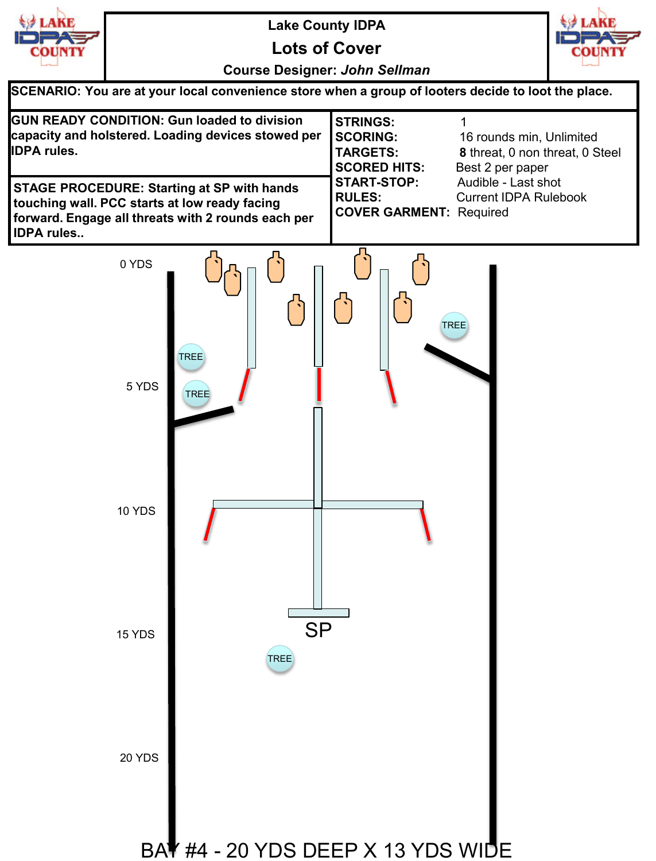

**Lots of Cover**



**Course Designer:** *John Sellman*

**SCENARIO: You are at your local convenience store when a group of looters decide to loot the place.**

| <b>GUN READY CONDITION: Gun loaded to division</b><br>capacity and holstered. Loading devices stowed per<br><b>IDPA rules.</b>                                                | <b>ISTRINGS:</b><br><b>ISCORING:</b><br><b>TARGETS:</b><br><b>SCORED HITS:</b> | 16 rounds min, Unlimited<br>8 threat, 0 non threat, 0 Steel<br>Best 2 per paper |
|-------------------------------------------------------------------------------------------------------------------------------------------------------------------------------|--------------------------------------------------------------------------------|---------------------------------------------------------------------------------|
| <b>STAGE PROCEDURE: Starting at SP with hands</b><br>touching wall. PCC starts at low ready facing<br>forward. Engage all threats with 2 rounds each per<br><b>IDPA rules</b> | I START-STOP:<br><b>IRULES:</b><br><b>COVER GARMENT: Required</b>              | Audible - Last shot<br><b>Current IDPA Rulebook</b>                             |

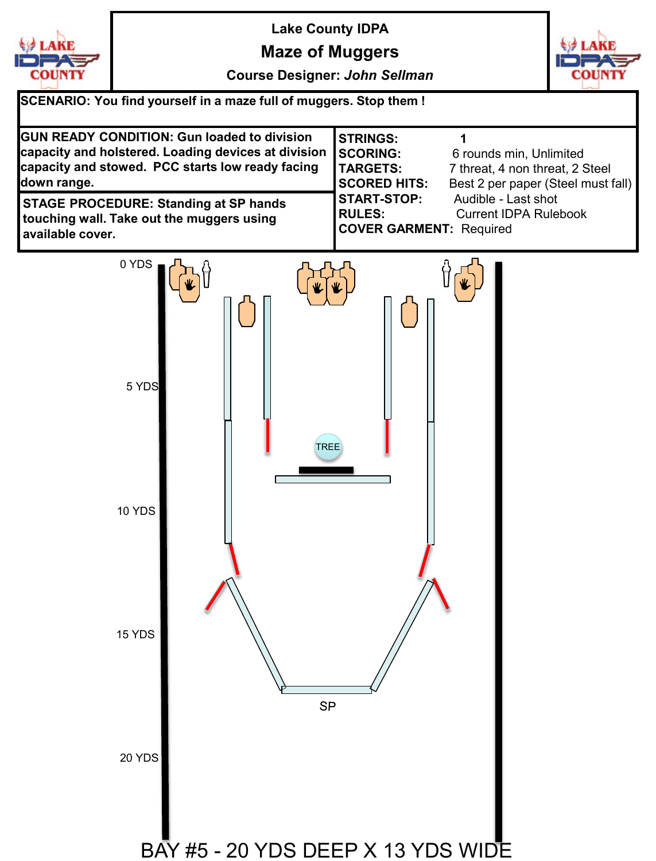

**Maze of Muggers**

**Course Designer:** *John Sellman*



**SCENARIO: You find yourself in a maze full of muggers. Stop them ! GUN READY CONDITION: Gun loaded to division STRINGS: 1 capacity and holstered. Loading devices at division SCORING:** 6 rounds min, Unlimited **capacity and stowed. PCC starts low ready facing TARGETS:** 7 threat, 4 non threat, 2 Steel **down range. SCORED HITS:** Best 2 per paper (Steel must fall) **START-STOP:** Audible - Last shot **STAGE PROCEDURE: Standing at SP hands RULES:** Current IDPA Rulebook **touching wall. Take out the muggers using COVER GARMENT:** Required **available cover.** 0 YDS 5 YDS TREE10 YDS 15 YDS **SP** 20 YDS BAY #5 - 20 YDS DEEP X 13 YDS WIDE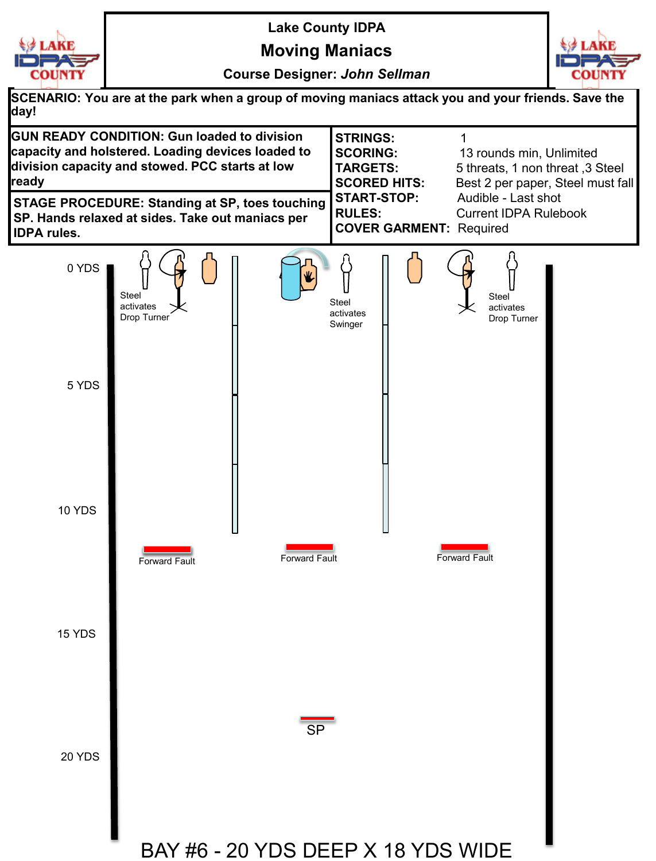